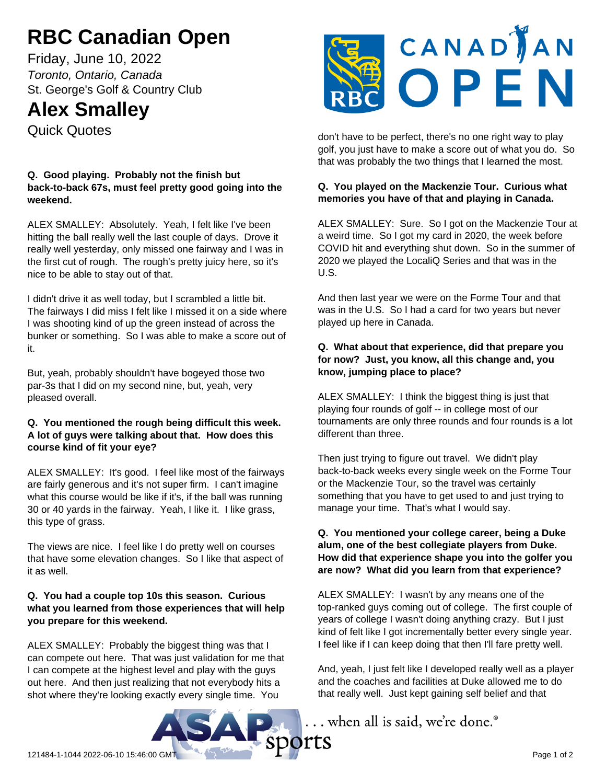# **RBC Canadian Open**

Friday, June 10, 2022 *Toronto, Ontario, Canada* St. George's Golf & Country Club

# **Alex Smalley**

Quick Quotes

#### **Q. Good playing. Probably not the finish but back-to-back 67s, must feel pretty good going into the weekend.**

ALEX SMALLEY: Absolutely. Yeah, I felt like I've been hitting the ball really well the last couple of days. Drove it really well yesterday, only missed one fairway and I was in the first cut of rough. The rough's pretty juicy here, so it's nice to be able to stay out of that.

I didn't drive it as well today, but I scrambled a little bit. The fairways I did miss I felt like I missed it on a side where I was shooting kind of up the green instead of across the bunker or something. So I was able to make a score out of it.

But, yeah, probably shouldn't have bogeyed those two par-3s that I did on my second nine, but, yeah, very pleased overall.

#### **Q. You mentioned the rough being difficult this week. A lot of guys were talking about that. How does this course kind of fit your eye?**

ALEX SMALLEY: It's good. I feel like most of the fairways are fairly generous and it's not super firm. I can't imagine what this course would be like if it's, if the ball was running 30 or 40 yards in the fairway. Yeah, I like it. I like grass, this type of grass.

The views are nice. I feel like I do pretty well on courses that have some elevation changes. So I like that aspect of it as well.

## **Q. You had a couple top 10s this season. Curious what you learned from those experiences that will help you prepare for this weekend.**

ALEX SMALLEY: Probably the biggest thing was that I can compete out here. That was just validation for me that I can compete at the highest level and play with the guys out here. And then just realizing that not everybody hits a shot where they're looking exactly every single time. You



don't have to be perfect, there's no one right way to play golf, you just have to make a score out of what you do. So that was probably the two things that I learned the most.

## **Q. You played on the Mackenzie Tour. Curious what memories you have of that and playing in Canada.**

ALEX SMALLEY: Sure. So I got on the Mackenzie Tour at a weird time. So I got my card in 2020, the week before COVID hit and everything shut down. So in the summer of 2020 we played the LocaliQ Series and that was in the U.S.

And then last year we were on the Forme Tour and that was in the U.S. So I had a card for two years but never played up here in Canada.

## **Q. What about that experience, did that prepare you for now? Just, you know, all this change and, you know, jumping place to place?**

ALEX SMALLEY: I think the biggest thing is just that playing four rounds of golf -- in college most of our tournaments are only three rounds and four rounds is a lot different than three.

Then just trying to figure out travel. We didn't play back-to-back weeks every single week on the Forme Tour or the Mackenzie Tour, so the travel was certainly something that you have to get used to and just trying to manage your time. That's what I would say.

#### **Q. You mentioned your college career, being a Duke alum, one of the best collegiate players from Duke. How did that experience shape you into the golfer you are now? What did you learn from that experience?**

ALEX SMALLEY: I wasn't by any means one of the top-ranked guys coming out of college. The first couple of years of college I wasn't doing anything crazy. But I just kind of felt like I got incrementally better every single year. I feel like if I can keep doing that then I'll fare pretty well.

And, yeah, I just felt like I developed really well as a player and the coaches and facilities at Duke allowed me to do that really well. Just kept gaining self belief and that

... when all is said, we're done.